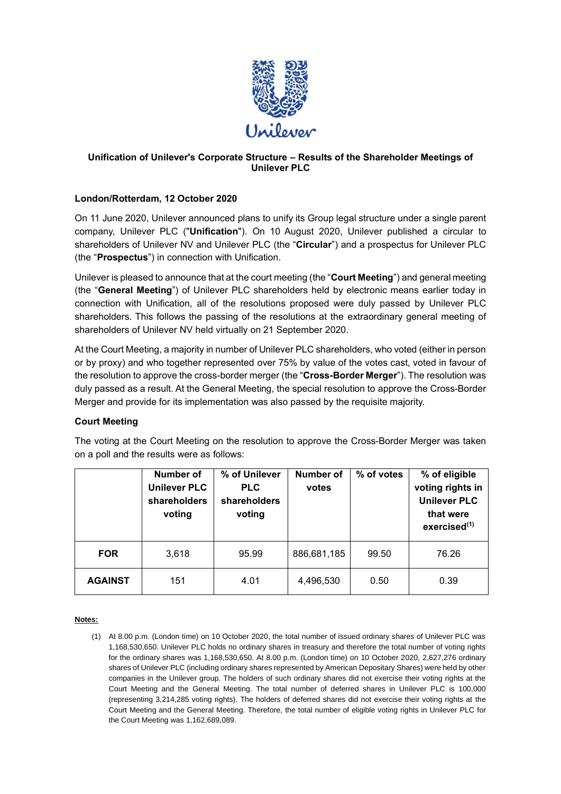

# **Unification of Unilever's Corporate Structure – Results of the Shareholder Meetings of Unilever PLC**

# **London/Rotterdam, 12 October 2020**

On 11 June 2020, Unilever announced plans to unify its Group legal structure under a single parent company, Unilever PLC ("**Unification**"). On 10 August 2020, Unilever published a circular to shareholders of Unilever NV and Unilever PLC (the "**Circular**") and a prospectus for Unilever PLC (the "**Prospectus**") in connection with Unification.

Unilever is pleased to announce that at the court meeting (the "**Court Meeting**") and general meeting (the "**General Meeting**") of Unilever PLC shareholders held by electronic means earlier today in connection with Unification, all of the resolutions proposed were duly passed by Unilever PLC shareholders. This follows the passing of the resolutions at the extraordinary general meeting of shareholders of Unilever NV held virtually on 21 September 2020.

At the Court Meeting, a majority in number of Unilever PLC shareholders, who voted (either in person or by proxy) and who together represented over 75% by value of the votes cast, voted in favour of the resolution to approve the cross-border merger (the "**Cross-Border Merger**"). The resolution was duly passed as a result. At the General Meeting, the special resolution to approve the Cross-Border Merger and provide for its implementation was also passed by the requisite majority.

## **Court Meeting**

The voting at the Court Meeting on the resolution to approve the Cross-Border Merger was taken on a poll and the results were as follows:

|                | <b>Number of</b><br><b>Unilever PLC</b><br>shareholders<br>voting | % of Unilever<br><b>PLC</b><br>shareholders<br>voting | Number of<br>votes | % of votes | % of eligible<br>voting rights in<br><b>Unilever PLC</b><br>that were<br>exercised <sup>(1)</sup> |
|----------------|-------------------------------------------------------------------|-------------------------------------------------------|--------------------|------------|---------------------------------------------------------------------------------------------------|
| <b>FOR</b>     | 3,618                                                             | 95.99                                                 | 886,681,185        | 99.50      | 76.26                                                                                             |
| <b>AGAINST</b> | 151                                                               | 4.01                                                  | 4,496,530          | 0.50       | 0.39                                                                                              |

## **Notes:**

(1) At 8.00 p.m. (London time) on 10 October 2020, the total number of issued ordinary shares of Unilever PLC was 1,168,530,650. Unilever PLC holds no ordinary shares in treasury and therefore the total number of voting rights for the ordinary shares was 1,168,530,650. At 8.00 p.m. (London time) on 10 October 2020, 2,627,276 ordinary shares of Unilever PLC (including ordinary shares represented by American Depositary Shares) were held by other companies in the Unilever group. The holders of such ordinary shares did not exercise their voting rights at the Court Meeting and the General Meeting. The total number of deferred shares in Unilever PLC is 100,000 (representing 3,214,285 voting rights). The holders of deferred shares did not exercise their voting rights at the Court Meeting and the General Meeting. Therefore, the total number of eligible voting rights in Unilever PLC for the Court Meeting was 1,162,689,089.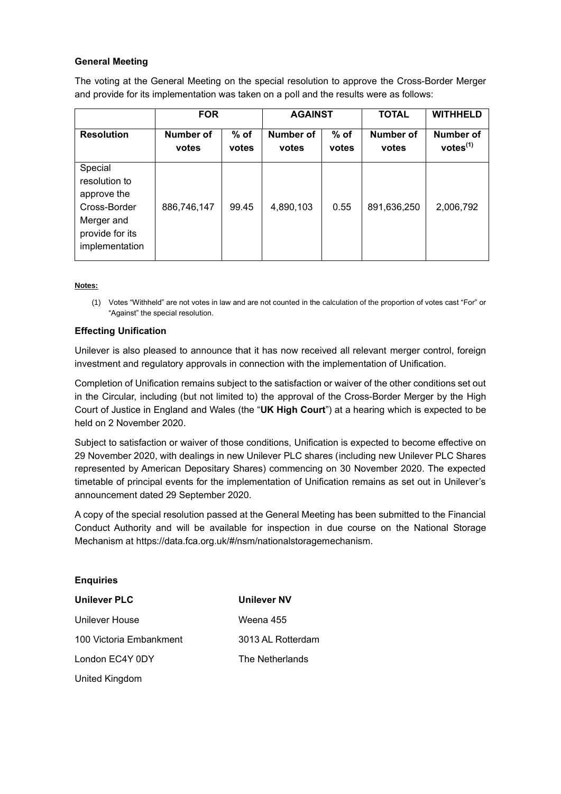## **General Meeting**

The voting at the General Meeting on the special resolution to approve the Cross-Border Merger and provide for its implementation was taken on a poll and the results were as follows:

|                                                                                                            | <b>FOR</b>         |                 | <b>AGAINST</b>            |                 | <b>TOTAL</b>       | <b>WITHHELD</b>                          |
|------------------------------------------------------------------------------------------------------------|--------------------|-----------------|---------------------------|-----------------|--------------------|------------------------------------------|
| <b>Resolution</b>                                                                                          | Number of<br>votes | $%$ of<br>votes | <b>Number of</b><br>votes | $%$ of<br>votes | Number of<br>votes | <b>Number of</b><br>votes <sup>(1)</sup> |
| Special<br>resolution to<br>approve the<br>Cross-Border<br>Merger and<br>provide for its<br>implementation | 886,746,147        | 99.45           | 4,890,103                 | 0.55            | 891,636,250        | 2,006,792                                |

#### **Notes:**

(1) Votes "Withheld" are not votes in law and are not counted in the calculation of the proportion of votes cast "For" or "Against" the special resolution.

#### **Effecting Unification**

Unilever is also pleased to announce that it has now received all relevant merger control, foreign investment and regulatory approvals in connection with the implementation of Unification.

Completion of Unification remains subject to the satisfaction or waiver of the other conditions set out in the Circular, including (but not limited to) the approval of the Cross-Border Merger by the High Court of Justice in England and Wales (the "**UK High Court**") at a hearing which is expected to be held on 2 November 2020.

Subject to satisfaction or waiver of those conditions, Unification is expected to become effective on 29 November 2020, with dealings in new Unilever PLC shares (including new Unilever PLC Shares represented by American Depositary Shares) commencing on 30 November 2020. The expected timetable of principal events for the implementation of Unification remains as set out in Unilever's announcement dated 29 September 2020.

A copy of the special resolution passed at the General Meeting has been submitted to the Financial Conduct Authority and will be available for inspection in due course on the National Storage Mechanism at https://data.fca.org.uk/#/nsm/nationalstoragemechanism.

| <b>Enquiries</b>        |                   |
|-------------------------|-------------------|
| <b>Unilever PLC</b>     | Unilever NV       |
| Unilever House          | Weena 455         |
| 100 Victoria Embankment | 3013 AL Rotterdam |
| London EC4Y 0DY         | The Netherlands   |
| United Kingdom          |                   |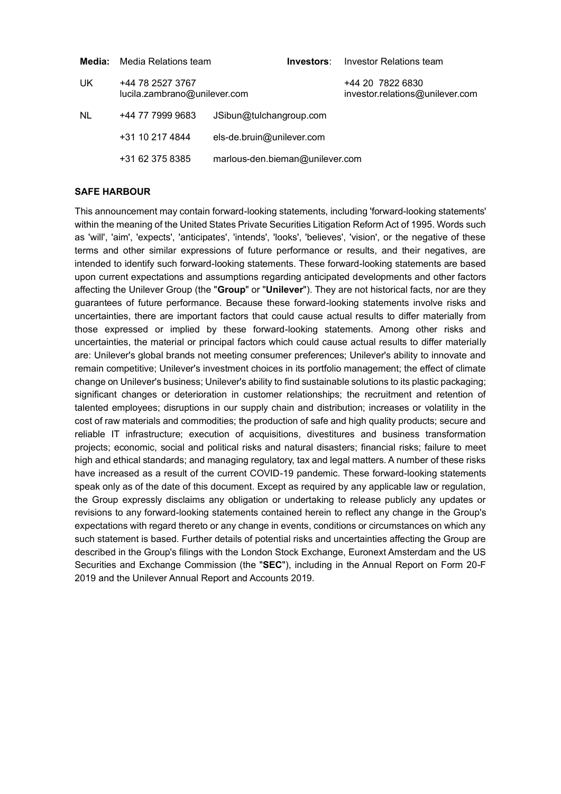| Media:    | Media Relations team                             | Investors:                      | Investor Relations team                             |
|-----------|--------------------------------------------------|---------------------------------|-----------------------------------------------------|
| UK.       | +44 78 2527 3767<br>lucila.zambrano@unilever.com |                                 | +44 20 7822 6830<br>investor.relations@unilever.com |
| <b>NL</b> | +44 77 7999 9683                                 | JSibun@tulchangroup.com         |                                                     |
|           | +31 10 217 4844                                  | els-de.bruin@unilever.com       |                                                     |
|           | +31 62 375 8385                                  | marlous-den.bieman@unilever.com |                                                     |

### **SAFE HARBOUR**

This announcement may contain forward-looking statements, including 'forward-looking statements' within the meaning of the United States Private Securities Litigation Reform Act of 1995. Words such as 'will', 'aim', 'expects', 'anticipates', 'intends', 'looks', 'believes', 'vision', or the negative of these terms and other similar expressions of future performance or results, and their negatives, are intended to identify such forward-looking statements. These forward-looking statements are based upon current expectations and assumptions regarding anticipated developments and other factors affecting the Unilever Group (the "**Group**" or "**Unilever**"). They are not historical facts, nor are they guarantees of future performance. Because these forward-looking statements involve risks and uncertainties, there are important factors that could cause actual results to differ materially from those expressed or implied by these forward-looking statements. Among other risks and uncertainties, the material or principal factors which could cause actual results to differ materially are: Unilever's global brands not meeting consumer preferences; Unilever's ability to innovate and remain competitive; Unilever's investment choices in its portfolio management; the effect of climate change on Unilever's business; Unilever's ability to find sustainable solutions to its plastic packaging; significant changes or deterioration in customer relationships; the recruitment and retention of talented employees; disruptions in our supply chain and distribution; increases or volatility in the cost of raw materials and commodities; the production of safe and high quality products; secure and reliable IT infrastructure; execution of acquisitions, divestitures and business transformation projects; economic, social and political risks and natural disasters; financial risks; failure to meet high and ethical standards; and managing regulatory, tax and legal matters. A number of these risks have increased as a result of the current COVID-19 pandemic. These forward-looking statements speak only as of the date of this document. Except as required by any applicable law or regulation, the Group expressly disclaims any obligation or undertaking to release publicly any updates or revisions to any forward-looking statements contained herein to reflect any change in the Group's expectations with regard thereto or any change in events, conditions or circumstances on which any such statement is based. Further details of potential risks and uncertainties affecting the Group are described in the Group's filings with the London Stock Exchange, Euronext Amsterdam and the US Securities and Exchange Commission (the "**SEC**"), including in the Annual Report on Form 20-F 2019 and the Unilever Annual Report and Accounts 2019.